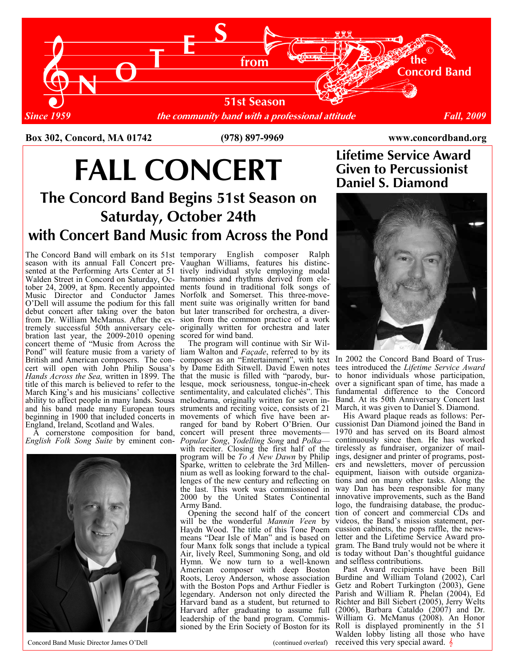

Box 302, Concord, MA 01742 (978) 897-9969 www.concordband.org

## FALL CONCERT Given to Percussion<br>Daniel S. Diamond

### The Concord Band Begins 51st Season on Saturday, October 24th with Concert Band Music from Across the Pond

tober 24, 2009, at 8pm. Recently appointed ments found in traditional folk songs of Music Director and Conductor James Norfolk and Somerset. This three-move-O'Dell will assume the podium for this fall ment suite was originally written for band debut concert after taking over the baton but later transcribed for orchestra, a diverfrom Dr. William McManus. After the ex- sion from the common practice of a work tremely successful 50th anniversary cele- originally written for orchestra and later bration last year, the 2009-2010 opening scored for wind band. Hands Across the Sea, written in 1899. The that the music is filled with "parody, burtitle of this march is believed to refer to the lesque, mock seriousness, tongue-in-cheek March King's and his musicians' collective sentimentality, and calculated clichés". This ability to affect people in many lands. Sousa melodrama, originally written for seven inand his band made many European tours struments and reciting voice, consists of 21 beginning in 1900 that included concerts in movements of which five have been ar-The Concord Band will embark on its 51st season with its annual Fall Concert presented at the Performing Arts Center at 51 Walden Street in Concord on Saturday, Occoncert theme of "Music from Across the Pond" will feature music from a variety of British and American composers. The concert will open with John Philip Sousa's England, Ireland, Scotland and Wales.

English Folk Song Suite by eminent con-



Concord Band Music Director James O'Dell

temporary English composer Ralph Vaughan Williams, features his distinctively individual style employing modal harmonies and rhythms derived from ele-

 The program will continue with Sir William Walton and Façade, referred to by its composer as an "Entertainment", with text by Dame Edith Sitwell. David Ewen notes ranged for band by Robert O'Brien. Our A cornerstone composition for band, concert will present three movements— Popular Song, Yodelling Song and Polka with reciter. Closing the first half of the program will be *To A New Dawn* by Philip Sparke, written to celebrate the 3rd Millennium as well as looking forward to the challenges of the new century and reflecting on the last. This work was commissioned in 2000 by the United States Continental Army Band.

 Opening the second half of the concert will be the wonderful Mannin Veen by Haydn Wood. The title of this Tone Poem means "Dear Isle of Man" and is based on four Manx folk songs that include a typical Air, lively Reel, Summoning Song, and old Hymn. We now turn to a well-known American composer with deep Boston Roots, Leroy Anderson, whose association with the Boston Pops and Arthur Fiedler is legendary. Anderson not only directed the Harvard band as a student, but returned to Harvard after graduating to assume full leadership of the band program. Commissioned by the Erin Society of Boston for its

(continued overleaf)

# Lifetime Service Award



In 2002 the Concord Band Board of Trustees introduced the Lifetime Service Award to honor individuals whose participation, over a significant span of time, has made a fundamental difference to the Concord Band. At its 50th Anniversary Concert last March, it was given to Daniel S. Diamond.

 His Award plaque reads as follows: Percussionist Dan Diamond joined the Band in 1970 and has served on its Board almost continuously since then. He has worked tirelessly as fundraiser, organizer of mailings, designer and printer of programs, posters and newsletters, mover of percussion equipment, liaison with outside organizations and on many other tasks. Along the way Dan has been responsible for many innovative improvements, such as the Band logo, the fundraising database, the production of concert and commercial CDs and videos, the Band's mission statement, percussion cabinets, the pops raffle, the newsletter and the Lifetime Service Award program. The Band truly would not be where it is today without Dan's thoughtful guidance and selfless contributions.

 Past Award recipients have been Bill Burdine and William Toland (2002), Carl Getz and Robert Turkington (2003), Gene Parish and William R. Phelan (2004), Ed Richter and Bill Siebert (2005), Jerry Welts (2006), Barbara Cataldo (2007) and Dr. William G. McManus (2008). An Honor Roll is displayed prominently in the 51 Walden lobby listing all those who have received this very special award.